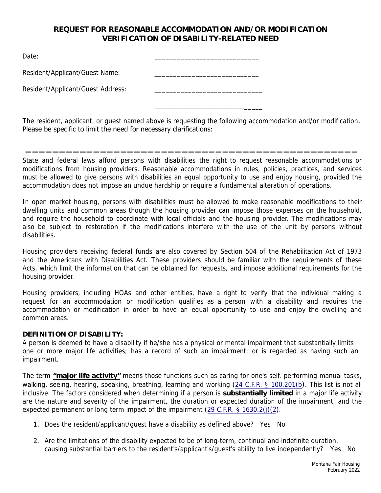## **REQUEST FOR REASONABLE ACCOMMODATION AND/OR MODIFICATION VERIFICATION OF DISABILITY-RELATED NEED**

\_\_\_\_\_\_\_\_\_\_\_\_\_\_\_\_\_\_\_\_\_\_\_\_\_\_\_\_

\_\_\_\_\_\_\_\_\_\_\_\_\_\_\_\_\_\_\_\_\_\_\_\_\_\_\_\_\_

\_\_\_\_\_\_\_\_\_\_\_\_\_\_\_\_\_\_\_\_\_\_\_\_\_\_\_\_\_

Date:

Resident/Applicant/Guest Name: \_\_\_\_\_\_\_\_\_\_\_\_\_\_\_\_\_\_\_\_\_\_\_\_\_\_\_\_

Resident/Applicant/Guest Address:

The resident, applicant, or guest named above is requesting the following accommodation and/or modification. Please be specific to limit the need for necessary clarifications:

 $\mathcal{L}_\text{max}$  , and the contract of the contract of the contract of the contract of the contract of the contract of the contract of the contract of the contract of the contract of the contract of the contract of the contr

State and federal laws afford persons with disabilities the right to request reasonable accommodations or modifications from housing providers. Reasonable accommodations in rules, policies, practices, and services must be allowed to give persons with disabilities an equal opportunity to use and enjoy housing, provided the accommodation does not impose an undue hardship or require a fundamental alteration of operations.

In open market housing, persons with disabilities must be allowed to make reasonable modifications to their dwelling units and common areas though the housing provider can impose those expenses on the household, and require the household to coordinate with local officials and the housing provider. The modifications may also be subject to restoration if the modifications interfere with the use of the unit by persons without disabilities.

Housing providers receiving federal funds are also covered by Section 504 of the Rehabilitation Act of 1973 and the Americans with Disabilities Act. These providers should be familiar with the requirements of these Acts, which limit the information that can be obtained for requests, and impose additional requirements for the housing provider.

Housing providers, including HOAs and other entities, have a right to verify that the individual making a request for an accommodation or modification qualifies as a person with a disability and requires the accommodation or modification in order to have an equal opportunity to use and enjoy the dwelling and common areas.

## **DEFINITION OF DISABILITY:**

A person is deemed to have a disability if he/she has a physical or mental impairment that substantially limits one or more major life activities; has a record of such an impairment; or is regarded as having such an impairment.

The term **"major life activity"** means those functions such as caring for one's self, performing manual tasks, walking, seeing, hearing, speaking, breathing, learning and working (24 C.F.R. § 100.201(b). This list is not all inclusive. The factors considered when determining if a person is **substantially limited** in a major life activity are the nature and severity of the impairment, the duration or expected duration of the impairment, and the expected permanent or long term impact of the impairment (29 C.F.R. § 1630.2(j)(2).

- 1. Does the resident/applicant/guest have a disability as defined above? Yes No
- 2. Are the limitations of the disability expected to be of long-term, continual and indefinite duration, causing substantial barriers to the resident's/applicant's/guest's ability to live independently? Yes No